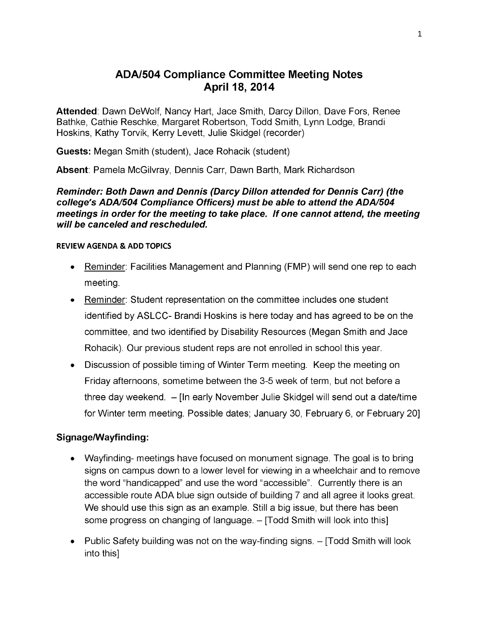# **ADA/504 Compliance Committee Meeting Notes April 18, 2014**

**Attended**: Dawn DeWolf, Nancy Hart, Jace Smith, Darcy Dillon, Dave Fors, Renee Bathke, Cathie Reschke, Margaret Robertson, Todd Smith, Lynn Lodge, Brandi Hoskins, Kathy Torvik, Kerry Levett, Julie Skidgel (recorder)

**Guests:** Megan Smith (student), Jace Rohacik (student)

**Absent**: Pamela McGilvray, Dennis Carr, Dawn Barth, Mark Richardson

#### *Reminder: Both Dawn and Dennis (Darcy Dillon attended for Dennis Carr) (the college's ADA/504 Compliance Officers) must be able to attend the ADA/504 meetings in order for the meeting to take place. If one cannot attend, the meeting will be canceled and rescheduled.*

#### **REVIEW AGENDA & ADD TOPICS**

- Reminder: Facilities Management and Planning (FMP) will send one rep to each meeting.
- Reminder: Student representation on the committee includes one student identified by ASLCC- Brandi Hoskins is here today and has agreed to be on the committee, and two identified by Disability Resources (Megan Smith and Jace Rohacik). Our previous student reps are not enrolled in school this year.
- Discussion of possible timing of Winter Term meeting. Keep the meeting on Friday afternoons, sometime between the 3-5 week of term, but not before a three day weekend. - [In early November Julie Skidgel will send out <sup>a</sup> date/time for Winter term meeting. Possible dates; January 30, February 6, or February 20]

#### **Signage/Wayfinding:**

- Wayfinding- meetings have focused on monument signage. The goal is to bring signs on campus down to a lower level for viewing in a wheelchair and to remove the word "handicapped" and use the word "accessible". Currently there is an accessible route ADA blue sign outside of building 7 and all agree it looks great. We should use this sign as an example. Still a big issue, but there has been some progress on changing of language. - [Todd Smith will look into this]
- Public Safety building was not on the way-finding signs.  $-$  [Todd Smith will look into this]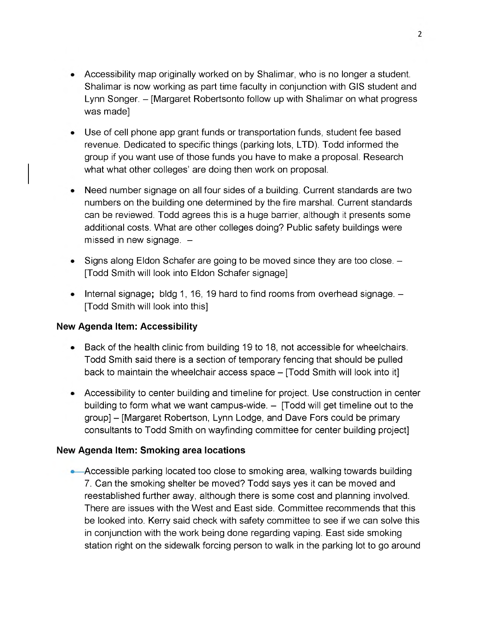- Accessibility map originally worked on by Shalimar, who is no longer a student. Shalimar is now working as part time faculty in conjunction with GIS student and Lynn Songer. - [Margaret Robertsonto follow up with Shalimar on what progress was made]
- Use of cell phone app grant funds or transportation funds, student fee based revenue. Dedicated to specific things (parking lots, LTD). Todd informed the group if you want use of those funds you have to make a proposal. Research what what other colleges' are doing then work on proposal.
- Need number signage on all four sides of a building. Current standards are two numbers on the building one determined by the fire marshal. Current standards can be reviewed. Todd agrees this is a huge barrier, although it presents some additional costs. What are other colleges doing? Public safety buildings were missed in new signage.  $-$
- Signs along Eldon Schafer are going to be moved since they are too close. -[Todd Smith will look into Eldon Schafer signage]
- Internal signage; bldg 1, 16, 19 hard to find rooms from overhead signage. -[Todd Smith will look into this]

#### **New Agenda Item: Accessibility**

- Back of the health clinic from building 19 to 18, not accessible for wheelchairs. Todd Smith said there is a section of temporary fencing that should be pulled back to maintain the wheelchair access space - [Todd Smith will look into it]
- Accessibility to center building and timeline for project. Use construction in center building to form what we want campus-wide.  $-$  [Todd will get timeline out to the group] - [Margaret Robertson, Lynn Lodge, and Dave Fors could be primary consultants to Todd Smith on wayfinding committee for center building project]

#### **New Agenda Item: Smoking area locations**

• Accessible parking located too close to smoking area, walking towards building 7. Can the smoking shelter be moved? Todd says yes it can be moved and reestablished further away, although there is some cost and planning involved. There are issues with the West and East side. Committee recommends that this be looked into. Kerry said check with safety committee to see if we can solve this in conjunction with the work being done regarding vaping. East side smoking station right on the sidewalk forcing person to walk in the parking lot to go around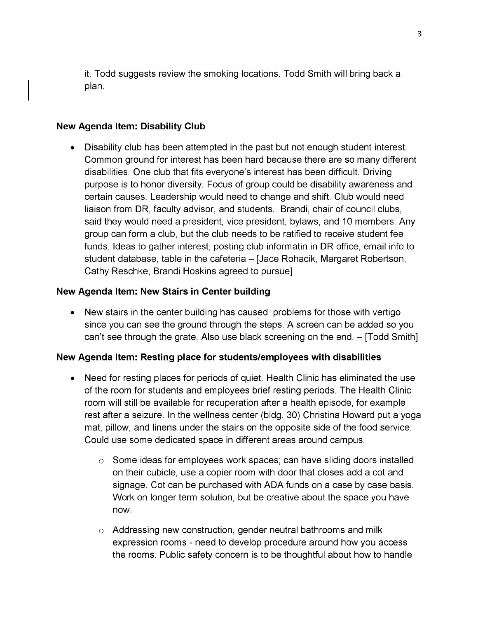it. Todd suggests review the smoking locations. Todd Smith will bring back a plan.

#### **New Agenda Item: Disability Club**

Disability club has been attempted in the past but not enough student interest. Common ground for interest has been hard because there are so many different disabilities. One club that fits everyone's interest has been difficult. Driving purpose is to honor diversity. Focus of group could be disability awareness and certain causes. Leadership would need to change and shift. Club would need liaison from DR, faculty advisor, and students. Brandi, chair of council clubs, said they would need a president, vice president, bylaws, and 10 members. Any group can form a club, but the club needs to be ratified to receive student fee funds. Ideas to gather interest; posting club informatin in DR office, email info to student database, table in the cafeteria – [Jace Rohacik, Margaret Robertson, Cathy Reschke, Brandi Hoskins agreed to pursue]

# **New Agenda Item: New Stairs in Center building**

New stairs in the center building has caused problems for those with vertigo since you can see the ground through the steps. A screen can be added so you can't see through the grate. Also use black screening on the end.  $-$  [Todd Smith]

# **New Agenda Item: Resting place for students/employees with disabilities**

- Need for resting places for periods of quiet. Health Clinic has eliminated the use of the room for students and employees brief resting periods. The Health Clinic room will still be available for recuperation after a health episode, for example rest after a seizure. In the wellness center (bldg. 30) Christina Howard put a yoga mat, pillow, and linens under the stairs on the opposite side of the food service. Could use some dedicated space in different areas around campus.
	- $\circ$  Some ideas for employees work spaces; can have sliding doors installed on their cubicle, use a copier room with door that closes add a cot and signage. Cot can be purchased with ADA funds on a case by case basis. Work on longer term solution, but be creative about the space you have now.
	- $\circ$  Addressing new construction, gender neutral bathrooms and milk expression rooms - need to develop procedure around how you access the rooms. Public safety concern is to be thoughtful about how to handle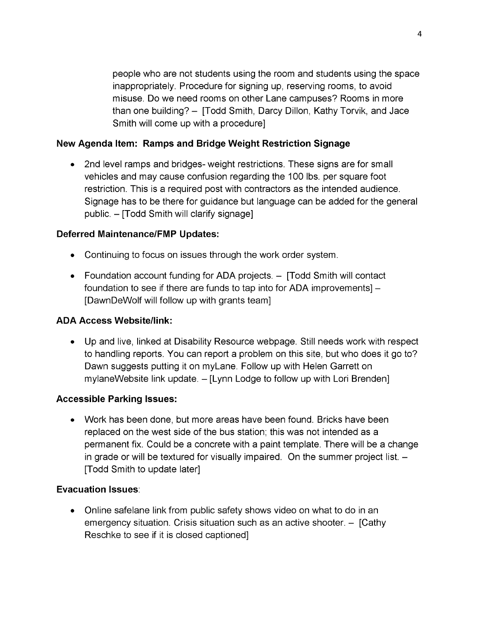people who are not students using the room and students using the space inappropriately. Procedure for signing up, reserving rooms, to avoid misuse. Do we need rooms on other Lane campuses? Rooms in more than one building? - [Todd Smith, Darcy Dillon, Kathy Torvik, and Jace Smith will come up with a procedure]

# **New Agenda Item: Ramps and Bridge Weight Restriction Signage**

• 2nd level ramps and bridges- weight restrictions. These signs are for small vehicles and may cause confusion regarding the 100 lbs. per square foot restriction. This is a required post with contractors as the intended audience. Signage has to be there for guidance but language can be added for the general public. - [Todd Smith will clarify signage]

# **Deferred Maintenance/FMP Updates:**

- Continuing to focus on issues through the work order system.
- Foundation account funding for ADA projects. [Todd Smith will contact foundation to see if there are funds to tap into for ADA improvements] -[DawnDeWolf will follow up with grants team]

# **ADA Access Website/link:**

Up and live, linked at Disability Resource webpage. Still needs work with respect to handling reports. You can report a problem on this site, but who does it go to? Dawn suggests putting it on myLane. Follow up with Helen Garrett on mylaneWebsite link update. - [Lynn Lodge to follow up with Lori Brenden]

# **Accessible Parking Issues:**

Work has been done, but more areas have been found. Bricks have been replaced on the west side of the bus station; this was not intended as a permanent fix. Could be a concrete with a paint template. There will be a change in grade or will be textured for visually impaired. On the summer project list.  $-$ [Todd Smith to update later]

# **Evacuation Issues**:

Online safelane link from public safety shows video on what to do in an emergency situation. Crisis situation such as an active shooter.  $-$  [Cathy Reschke to see if it is closed captioned]